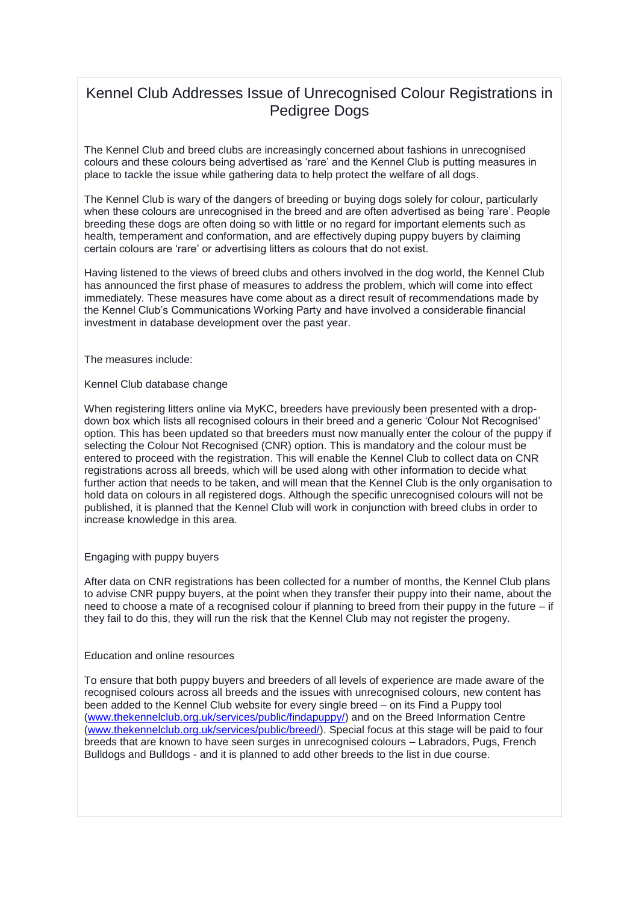# Kennel Club Addresses Issue of Unrecognised Colour Registrations in Pedigree Dogs

The Kennel Club and breed clubs are increasingly concerned about fashions in unrecognised colours and these colours being advertised as 'rare' and the Kennel Club is putting measures in place to tackle the issue while gathering data to help protect the welfare of all dogs.

The Kennel Club is wary of the dangers of breeding or buying dogs solely for colour, particularly when these colours are unrecognised in the breed and are often advertised as being 'rare'. People breeding these dogs are often doing so with little or no regard for important elements such as health, temperament and conformation, and are effectively duping puppy buyers by claiming certain colours are 'rare' or advertising litters as colours that do not exist.

Having listened to the views of breed clubs and others involved in the dog world, the Kennel Club has announced the first phase of measures to address the problem, which will come into effect immediately. These measures have come about as a direct result of recommendations made by the Kennel Club's Communications Working Party and have involved a considerable financial investment in database development over the past year.

The measures include:

## Kennel Club database change

When registering litters online via MyKC, breeders have previously been presented with a dropdown box which lists all recognised colours in their breed and a generic 'Colour Not Recognised' option. This has been updated so that breeders must now manually enter the colour of the puppy if selecting the Colour Not Recognised (CNR) option. This is mandatory and the colour must be entered to proceed with the registration. This will enable the Kennel Club to collect data on CNR registrations across all breeds, which will be used along with other information to decide what further action that needs to be taken, and will mean that the Kennel Club is the only organisation to hold data on colours in all registered dogs. Although the specific unrecognised colours will not be published, it is planned that the Kennel Club will work in conjunction with breed clubs in order to increase knowledge in this area.

## Engaging with puppy buyers

After data on CNR registrations has been collected for a number of months, the Kennel Club plans to advise CNR puppy buyers, at the point when they transfer their puppy into their name, about the need to choose a mate of a recognised colour if planning to breed from their puppy in the future – if they fail to do this, they will run the risk that the Kennel Club may not register the progeny.

# Education and online resources

To ensure that both puppy buyers and breeders of all levels of experience are made aware of the recognised colours across all breeds and the issues with unrecognised colours, new content has been added to the Kennel Club website for every single breed – on its Find a Puppy tool (www.thekennelclub.org.uk/services/public/findapuppy/) and on the Breed Information Centre (www.thekennelclub.org.uk/services/public/breed/). Special focus at this stage will be paid to four breeds that are known to have seen surges in unrecognised colours – Labradors, Pugs, French Bulldogs and Bulldogs - and it is planned to add other breeds to the list in due course.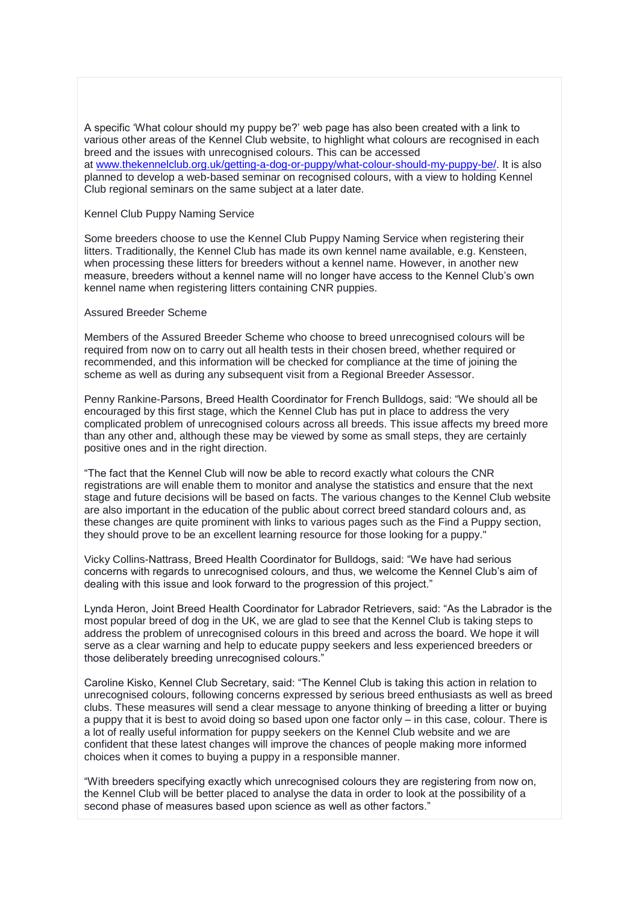A specific 'What colour should my puppy be?' web page has also been created with a link to various other areas of the Kennel Club website, to highlight what colours are recognised in each breed and the issues with unrecognised colours. This can be accessed at www.thekennelclub.org.uk/getting-a-dog-or-puppy/what-colour-should-my-puppy-be/. It is also planned to develop a web-based seminar on recognised colours, with a view to holding Kennel Club regional seminars on the same subject at a later date.

### Kennel Club Puppy Naming Service

Some breeders choose to use the Kennel Club Puppy Naming Service when registering their litters. Traditionally, the Kennel Club has made its own kennel name available, e.g. Kensteen, when processing these litters for breeders without a kennel name. However, in another new measure, breeders without a kennel name will no longer have access to the Kennel Club's own kennel name when registering litters containing CNR puppies.

### Assured Breeder Scheme

Members of the Assured Breeder Scheme who choose to breed unrecognised colours will be required from now on to carry out all health tests in their chosen breed, whether required or recommended, and this information will be checked for compliance at the time of joining the scheme as well as during any subsequent visit from a Regional Breeder Assessor.

Penny Rankine-Parsons, Breed Health Coordinator for French Bulldogs, said: "We should all be encouraged by this first stage, which the Kennel Club has put in place to address the very complicated problem of unrecognised colours across all breeds. This issue affects my breed more than any other and, although these may be viewed by some as small steps, they are certainly positive ones and in the right direction.

"The fact that the Kennel Club will now be able to record exactly what colours the CNR registrations are will enable them to monitor and analyse the statistics and ensure that the next stage and future decisions will be based on facts. The various changes to the Kennel Club website are also important in the education of the public about correct breed standard colours and, as these changes are quite prominent with links to various pages such as the Find a Puppy section, they should prove to be an excellent learning resource for those looking for a puppy."

Vicky Collins-Nattrass, Breed Health Coordinator for Bulldogs, said: "We have had serious concerns with regards to unrecognised colours, and thus, we welcome the Kennel Club's aim of dealing with this issue and look forward to the progression of this project."

Lynda Heron, Joint Breed Health Coordinator for Labrador Retrievers, said: "As the Labrador is the most popular breed of dog in the UK, we are glad to see that the Kennel Club is taking steps to address the problem of unrecognised colours in this breed and across the board. We hope it will serve as a clear warning and help to educate puppy seekers and less experienced breeders or those deliberately breeding unrecognised colours."

Caroline Kisko, Kennel Club Secretary, said: "The Kennel Club is taking this action in relation to unrecognised colours, following concerns expressed by serious breed enthusiasts as well as breed clubs. These measures will send a clear message to anyone thinking of breeding a litter or buying a puppy that it is best to avoid doing so based upon one factor only – in this case, colour. There is a lot of really useful information for puppy seekers on the Kennel Club website and we are confident that these latest changes will improve the chances of people making more informed choices when it comes to buying a puppy in a responsible manner.

"With breeders specifying exactly which unrecognised colours they are registering from now on, the Kennel Club will be better placed to analyse the data in order to look at the possibility of a second phase of measures based upon science as well as other factors."